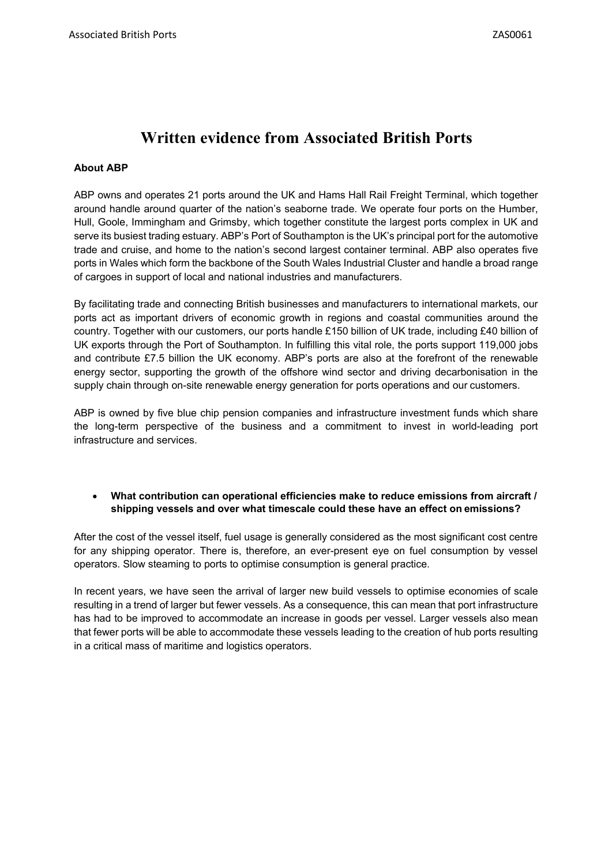# **Written evidence from Associated British Ports**

## **About ABP**

ABP owns and operates 21 ports around the UK and Hams Hall Rail Freight Terminal, which together around handle around quarter of the nation's seaborne trade. We operate four ports on the Humber, Hull, Goole, Immingham and Grimsby, which together constitute the largest ports complex in UK and serve its busiest trading estuary. ABP's Port of Southampton is the UK's principal port for the automotive trade and cruise, and home to the nation's second largest container terminal. ABP also operates five ports in Wales which form the backbone of the South Wales Industrial Cluster and handle a broad range of cargoes in support of local and national industries and manufacturers.

By facilitating trade and connecting British businesses and manufacturers to international markets, our ports act as important drivers of economic growth in regions and coastal communities around the country. Together with our customers, our ports handle £150 billion of UK trade, including £40 billion of UK exports through the Port of Southampton. In fulfilling this vital role, the ports support 119,000 jobs and contribute £7.5 billion the UK economy. ABP's ports are also at the forefront of the renewable energy sector, supporting the growth of the offshore wind sector and driving decarbonisation in the supply chain through on-site renewable energy generation for ports operations and our customers.

ABP is owned by five blue chip pension companies and infrastructure investment funds which share the long-term perspective of the business and a commitment to invest in world-leading port infrastructure and services.

## **What contribution can operational efficiencies make to reduce emissions from aircraft / shipping vessels and over what timescale could these have an effect on emissions?**

After the cost of the vessel itself, fuel usage is generally considered as the most significant cost centre for any shipping operator. There is, therefore, an ever-present eye on fuel consumption by vessel operators. Slow steaming to ports to optimise consumption is general practice.

In recent years, we have seen the arrival of larger new build vessels to optimise economies of scale resulting in a trend of larger but fewer vessels. As a consequence, this can mean that port infrastructure has had to be improved to accommodate an increase in goods per vessel. Larger vessels also mean that fewer ports will be able to accommodate these vessels leading to the creation of hub ports resulting in a critical mass of maritime and logistics operators.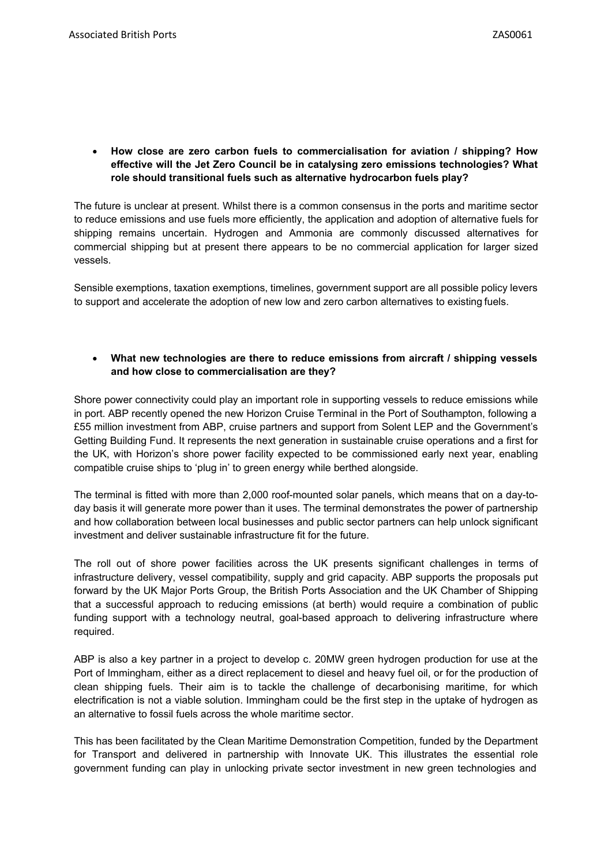**How close are zero carbon fuels to commercialisation for aviation / shipping? How effective will the Jet Zero Council be in catalysing zero emissions technologies? What role should transitional fuels such as alternative hydrocarbon fuels play?**

The future is unclear at present. Whilst there is a common consensus in the ports and maritime sector to reduce emissions and use fuels more efficiently, the application and adoption of alternative fuels for shipping remains uncertain. Hydrogen and Ammonia are commonly discussed alternatives for commercial shipping but at present there appears to be no commercial application for larger sized vessels.

Sensible exemptions, taxation exemptions, timelines, government support are all possible policy levers to support and accelerate the adoption of new low and zero carbon alternatives to existingfuels.

#### **What new technologies are there to reduce emissions from aircraft / shipping vessels and how close to commercialisation are they?**

Shore power connectivity could play an important role in supporting vessels to reduce emissions while in port. ABP recently opened the new Horizon Cruise Terminal in the Port of Southampton, following a £55 million investment from ABP, cruise partners and support from Solent LEP and the Government's Getting Building Fund. It represents the next generation in sustainable cruise operations and a first for the UK, with Horizon's shore power facility expected to be commissioned early next year, enabling compatible cruise ships to 'plug in' to green energy while berthed alongside.

The terminal is fitted with more than 2,000 roof-mounted solar panels, which means that on a day-today basis it will generate more power than it uses. The terminal demonstrates the power of partnership and how collaboration between local businesses and public sector partners can help unlock significant investment and deliver sustainable infrastructure fit for the future.

The roll out of shore power facilities across the UK presents significant challenges in terms of infrastructure delivery, vessel compatibility, supply and grid capacity. ABP supports the proposals put forward by the UK Major Ports Group, the British Ports Association and the UK Chamber of Shipping that a successful approach to reducing emissions (at berth) would require a combination of public funding support with a technology neutral, goal-based approach to delivering infrastructure where required.

ABP is also a key partner in a project to develop c. 20MW green hydrogen production for use at the Port of Immingham, either as a direct replacement to diesel and heavy fuel oil, or for the production of clean shipping fuels. Their aim is to tackle the challenge of decarbonising maritime, for which electrification is not a viable solution. Immingham could be the first step in the uptake of hydrogen as an alternative to fossil fuels across the whole maritime sector.

This has been facilitated by the Clean Maritime Demonstration Competition, funded by the Department for Transport and delivered in partnership with Innovate UK. This illustrates the essential role government funding can play in unlocking private sector investment in new green technologies and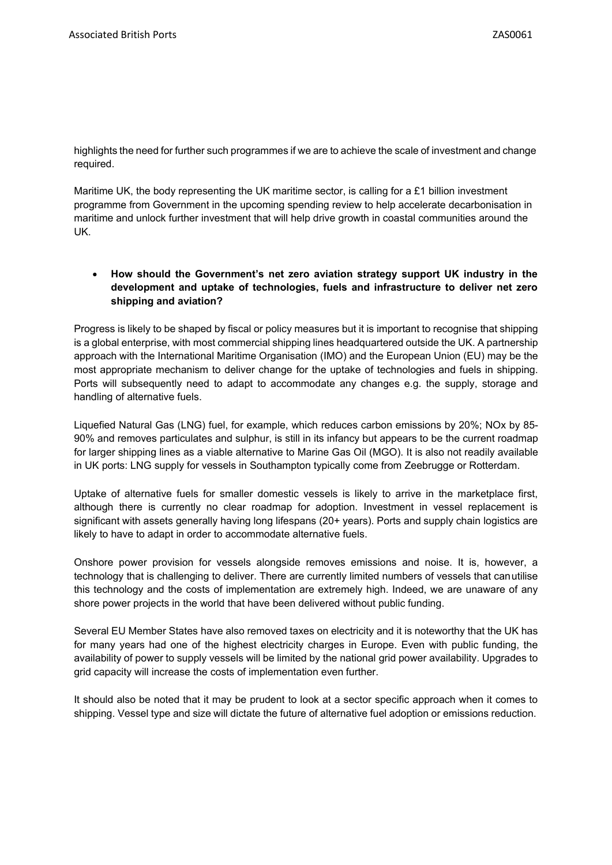highlights the need for further such programmes if we are to achieve the scale of investment and change required.

Maritime UK, the body representing the UK maritime sector, is calling for a £1 billion investment programme from Government in the upcoming spending review to help accelerate decarbonisation in maritime and unlock further investment that will help drive growth in coastal communities around the UK.

# **How should the Government's net zero aviation strategy support UK industry in the development and uptake of technologies, fuels and infrastructure to deliver net zero shipping and aviation?**

Progress is likely to be shaped by fiscal or policy measures but it is important to recognise that shipping is a global enterprise, with most commercial shipping lines headquartered outside the UK. A partnership approach with the International Maritime Organisation (IMO) and the European Union (EU) may be the most appropriate mechanism to deliver change for the uptake of technologies and fuels in shipping. Ports will subsequently need to adapt to accommodate any changes e.g. the supply, storage and handling of alternative fuels.

Liquefied Natural Gas (LNG) fuel, for example, which reduces carbon emissions by 20%; NOx by 85- 90% and removes particulates and sulphur, is still in its infancy but appears to be the current roadmap for larger shipping lines as a viable alternative to Marine Gas Oil (MGO). It is also not readily available in UK ports: LNG supply for vessels in Southampton typically come from Zeebrugge or Rotterdam.

Uptake of alternative fuels for smaller domestic vessels is likely to arrive in the marketplace first, although there is currently no clear roadmap for adoption. Investment in vessel replacement is significant with assets generally having long lifespans (20+ years). Ports and supply chain logistics are likely to have to adapt in order to accommodate alternative fuels.

Onshore power provision for vessels alongside removes emissions and noise. It is, however, a technology that is challenging to deliver. There are currently limited numbers of vessels that canutilise this technology and the costs of implementation are extremely high. Indeed, we are unaware of any shore power projects in the world that have been delivered without public funding.

Several EU Member States have also removed taxes on electricity and it is noteworthy that the UK has for many years had one of the highest electricity charges in Europe. Even with public funding, the availability of power to supply vessels will be limited by the national grid power availability. Upgrades to grid capacity will increase the costs of implementation even further.

It should also be noted that it may be prudent to look at a sector specific approach when it comes to shipping. Vessel type and size will dictate the future of alternative fuel adoption or emissions reduction.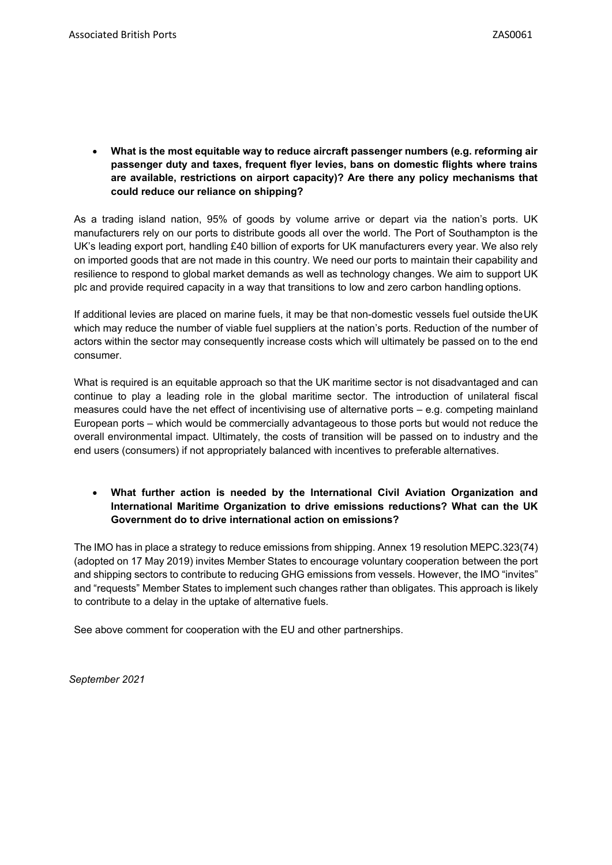**What is the most equitable way to reduce aircraft passenger numbers (e.g. reforming air passenger duty and taxes, frequent flyer levies, bans on domestic flights where trains are available, restrictions on airport capacity)? Are there any policy mechanisms that could reduce our reliance on shipping?**

As a trading island nation, 95% of goods by volume arrive or depart via the nation's ports. UK manufacturers rely on our ports to distribute goods all over the world. The Port of Southampton is the UK's leading export port, handling £40 billion of exports for UK manufacturers every year. We also rely on imported goods that are not made in this country. We need our ports to maintain their capability and resilience to respond to global market demands as well as technology changes. We aim to support UK plc and provide required capacity in a way that transitions to low and zero carbon handlingoptions.

If additional levies are placed on marine fuels, it may be that non-domestic vessels fuel outside theUK which may reduce the number of viable fuel suppliers at the nation's ports. Reduction of the number of actors within the sector may consequently increase costs which will ultimately be passed on to the end consumer.

What is required is an equitable approach so that the UK maritime sector is not disadvantaged and can continue to play a leading role in the global maritime sector. The introduction of unilateral fiscal measures could have the net effect of incentivising use of alternative ports – e.g. competing mainland European ports – which would be commercially advantageous to those ports but would not reduce the overall environmental impact. Ultimately, the costs of transition will be passed on to industry and the end users (consumers) if not appropriately balanced with incentives to preferable alternatives.

# **What further action is needed by the International Civil Aviation Organization and International Maritime Organization to drive emissions reductions? What can the UK Government do to drive international action on emissions?**

The IMO has in place a strategy to reduce emissions from shipping. Annex 19 resolution MEPC.323(74) (adopted on 17 May 2019) invites Member States to encourage voluntary cooperation between the port and shipping sectors to contribute to reducing GHG emissions from vessels. However, the IMO "invites" and "requests" Member States to implement such changes rather than obligates. This approach is likely to contribute to a delay in the uptake of alternative fuels.

See above comment for cooperation with the EU and other partnerships.

*September 2021*